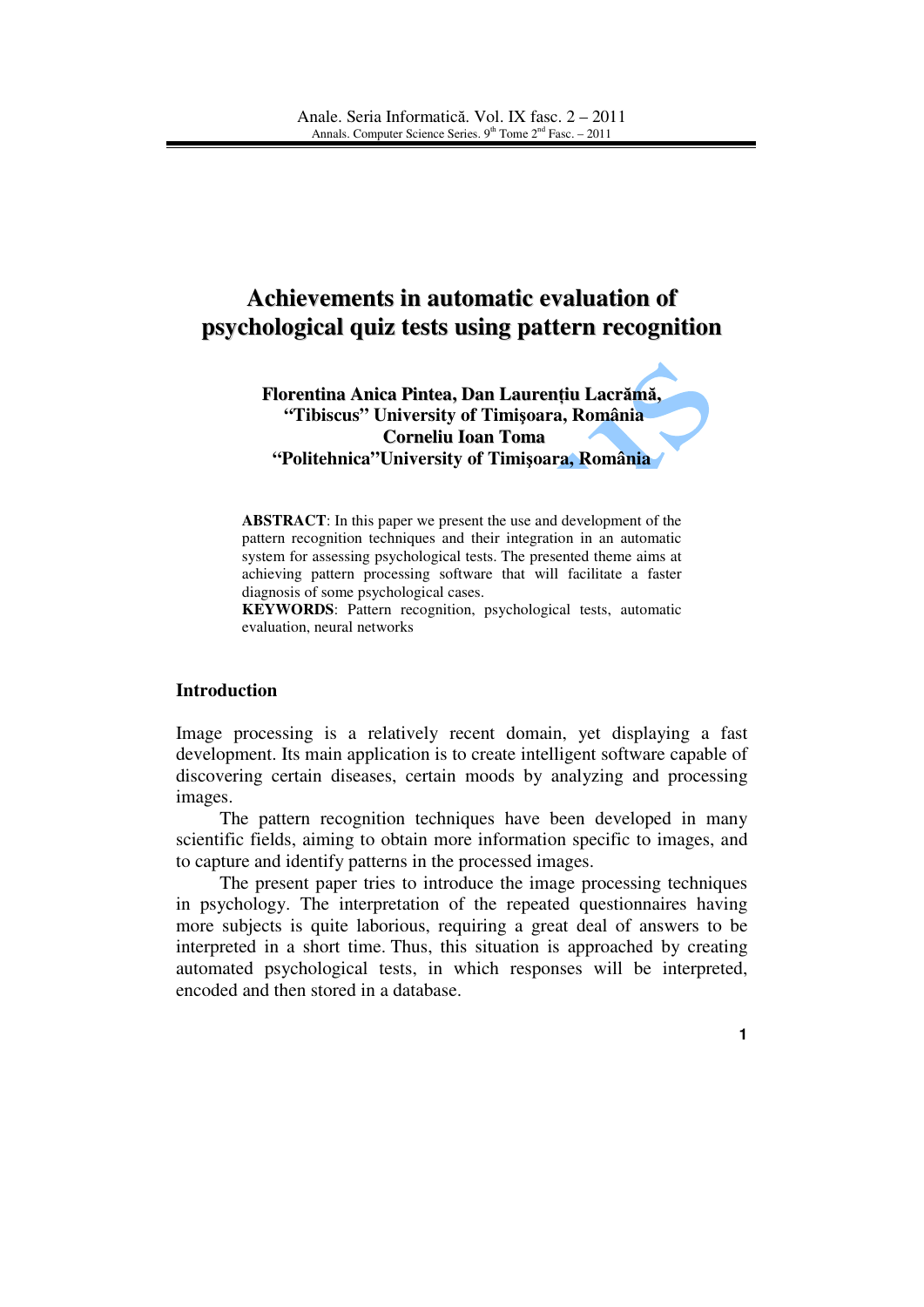# **Achievements in automatic evaluation of psychological quiz tests using pattern recognition**

**Florentina Anica Pintea, Dan Lauren**ţ**iu Lacr**ă**m**ă**, "Tibiscus" University of Timi**ş**oara, România Corneliu Ioan Toma "Politehnica"University of Timi**ş**oara, România** 

**ABSTRACT**: In this paper we present the use and development of the pattern recognition techniques and their integration in an automatic system for assessing psychological tests. The presented theme aims at achieving pattern processing software that will facilitate a faster diagnosis of some psychological cases.

**KEYWORDS**: Pattern recognition, psychological tests, automatic evaluation, neural networks

## **Introduction**

Image processing is a relatively recent domain, yet displaying a fast development. Its main application is to create intelligent software capable of discovering certain diseases, certain moods by analyzing and processing images.

The pattern recognition techniques have been developed in many scientific fields, aiming to obtain more information specific to images, and to capture and identify patterns in the processed images.

The present paper tries to introduce the image processing techniques in psychology. The interpretation of the repeated questionnaires having more subjects is quite laborious, requiring a great deal of answers to be interpreted in a short time. Thus, this situation is approached by creating automated psychological tests, in which responses will be interpreted, encoded and then stored in a database.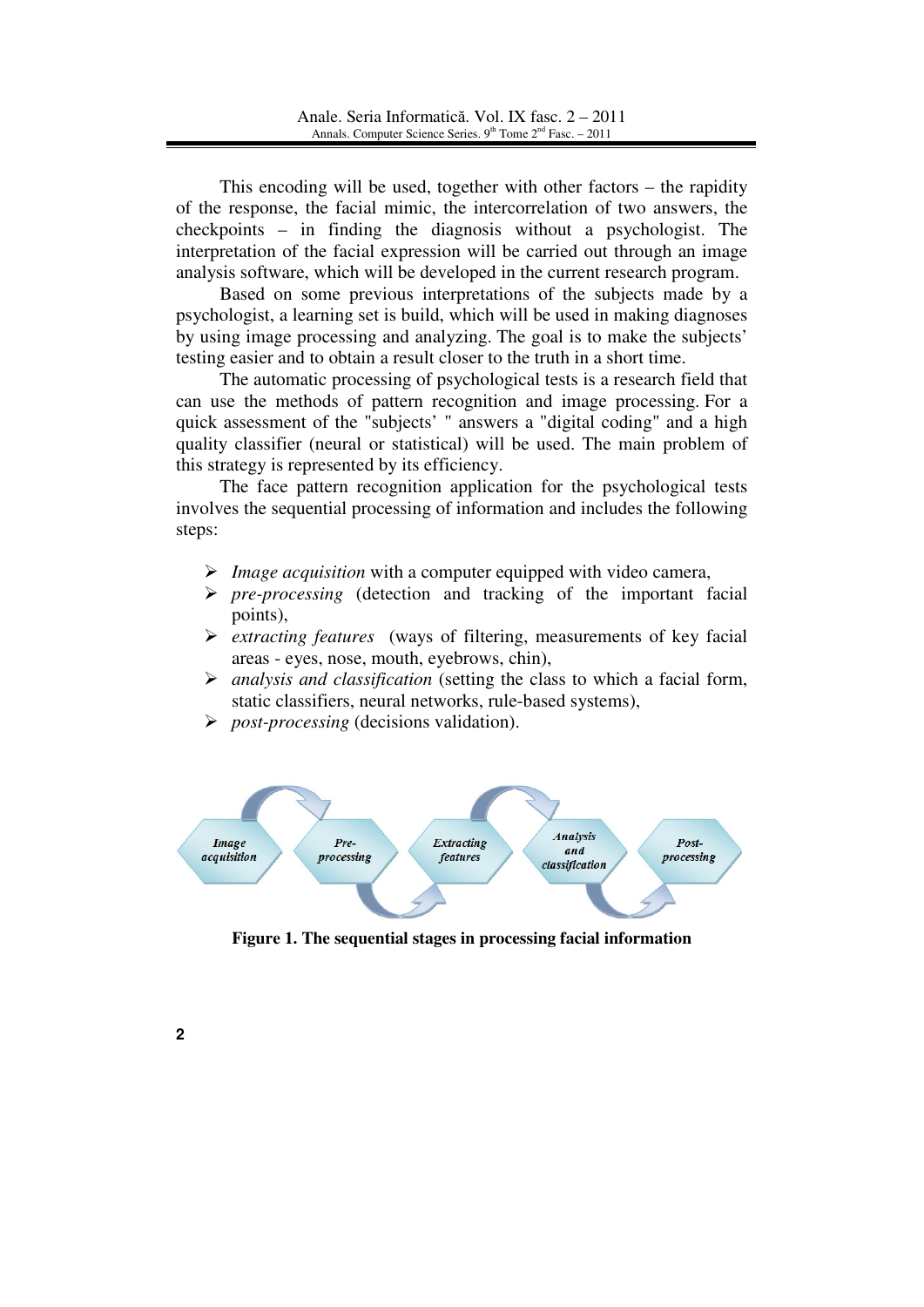This encoding will be used, together with other factors – the rapidity of the response, the facial mimic, the intercorrelation of two answers, the checkpoints – in finding the diagnosis without a psychologist. The interpretation of the facial expression will be carried out through an image analysis software, which will be developed in the current research program.

Based on some previous interpretations of the subjects made by a psychologist, a learning set is build, which will be used in making diagnoses by using image processing and analyzing. The goal is to make the subjects' testing easier and to obtain a result closer to the truth in a short time.

The automatic processing of psychological tests is a research field that can use the methods of pattern recognition and image processing. For a quick assessment of the "subjects' " answers a "digital coding" and a high quality classifier (neural or statistical) will be used. The main problem of this strategy is represented by its efficiency.

The face pattern recognition application for the psychological tests involves the sequential processing of information and includes the following steps:

- *Image acquisition* with a computer equipped with video camera,
- *pre-processing* (detection and tracking of the important facial points),
- *extracting features* (ways of filtering, measurements of key facial areas - eyes, nose, mouth, eyebrows, chin),
- *analysis and classification* (setting the class to which a facial form, static classifiers, neural networks, rule-based systems),
- *post-processing* (decisions validation).



**Figure 1. The sequential stages in processing facial information**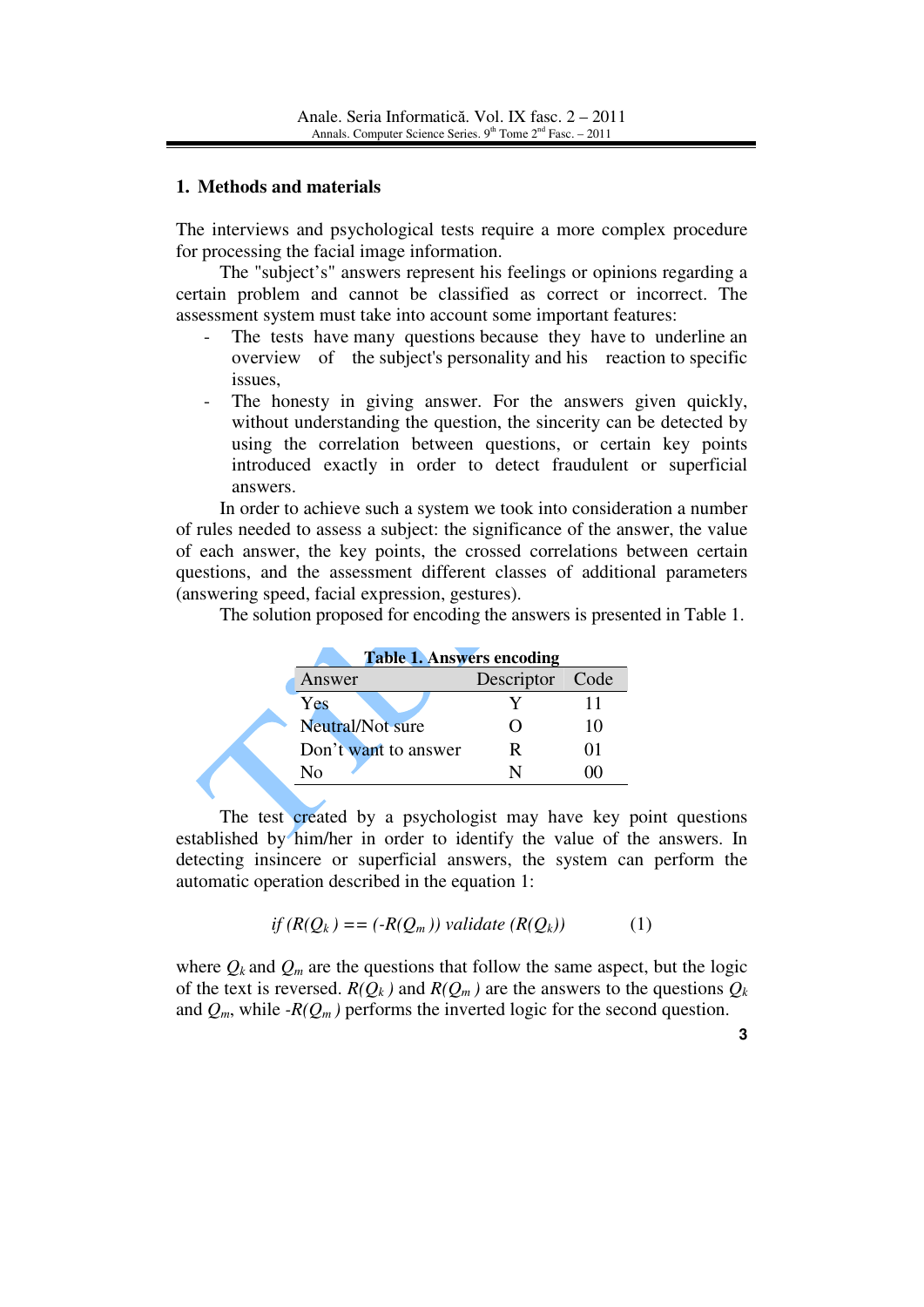#### **1. Methods and materials**

The interviews and psychological tests require a more complex procedure for processing the facial image information.

The "subject's" answers represent his feelings or opinions regarding a certain problem and cannot be classified as correct or incorrect. The assessment system must take into account some important features:

- The tests have many questions because they have to underline an overview of the subject's personality and his reaction to specific issues,
- The honesty in giving answer. For the answers given quickly, without understanding the question, the sincerity can be detected by using the correlation between questions, or certain key points introduced exactly in order to detect fraudulent or superficial answers.

In order to achieve such a system we took into consideration a number of rules needed to assess a subject: the significance of the answer, the value of each answer, the key points, the crossed correlations between certain questions, and the assessment different classes of additional parameters (answering speed, facial expression, gestures).

The solution proposed for encoding the answers is presented in Table 1.

| <b>Table 1. Answers encoding</b> |                 |    |
|----------------------------------|-----------------|----|
| Answer                           | Descriptor Code |    |
| Yes                              |                 |    |
| Neutral/Not sure                 | υ               | 10 |
| Don't want to answer             | R               |    |
| Nο                               |                 |    |
|                                  |                 |    |

The test created by a psychologist may have key point questions established by him/her in order to identify the value of the answers. In detecting insincere or superficial answers, the system can perform the automatic operation described in the equation 1:

$$
if (R(Q_k) == (-R(Q_m)) \, validate (R(Q_k)) \tag{1}
$$

where  $Q_k$  and  $Q_m$  are the questions that follow the same aspect, but the logic of the text is reversed.  $R(Q_k)$  and  $R(Q_m)$  are the answers to the questions  $Q_k$ and  $Q_m$ , while  $-R(Q_m)$  performs the inverted logic for the second question.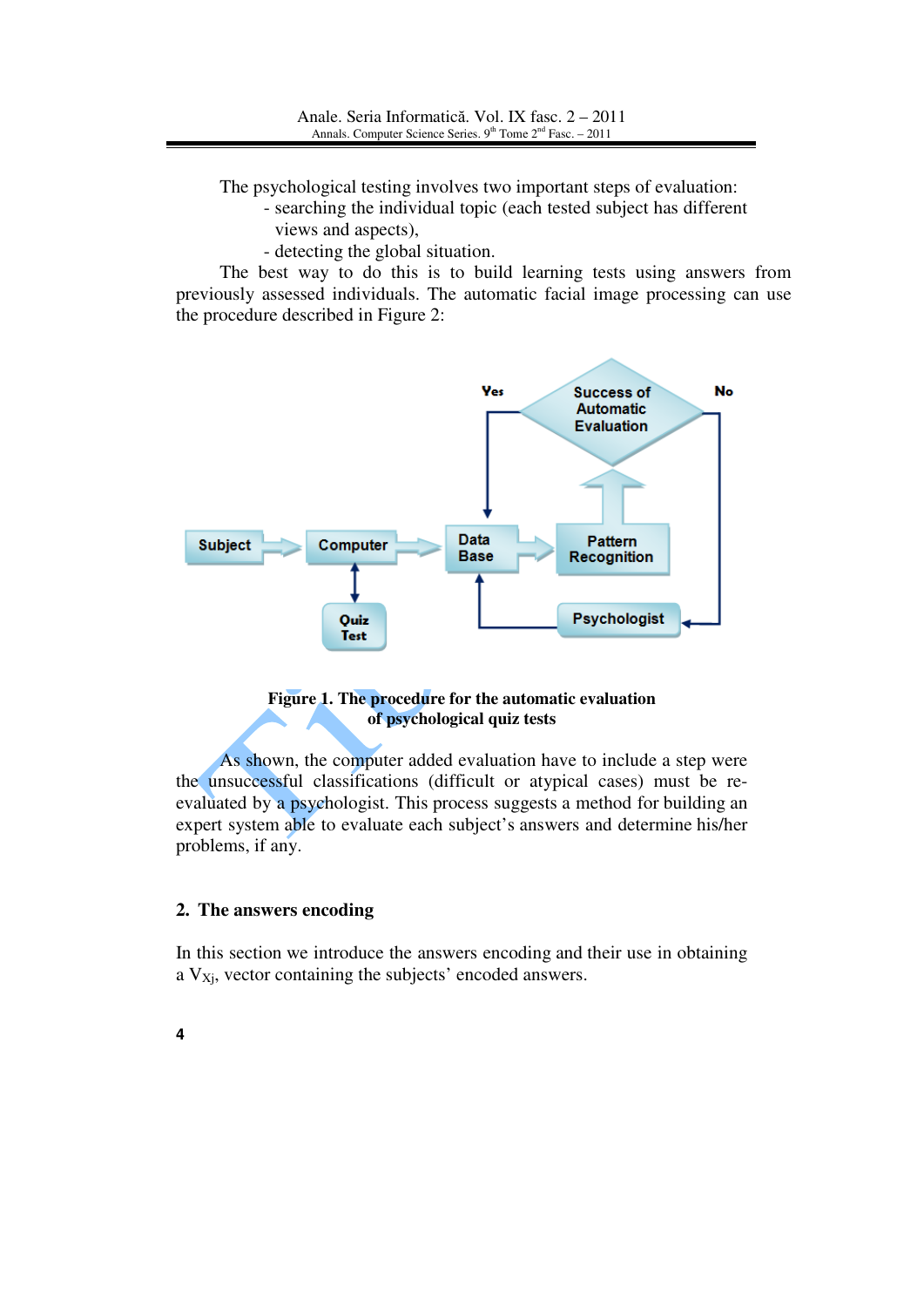The psychological testing involves two important steps of evaluation:

- searching the individual topic (each tested subject has different views and aspects),
- detecting the global situation.

The best way to do this is to build learning tests using answers from previously assessed individuals. The automatic facial image processing can use the procedure described in Figure 2:



#### **Figure 1. The procedure for the automatic evaluation of psychological quiz tests**

As shown, the computer added evaluation have to include a step were the unsuccessful classifications (difficult or atypical cases) must be reevaluated by a psychologist. This process suggests a method for building an expert system able to evaluate each subject's answers and determine his/her problems, if any.

## **2. The answers encoding**

In this section we introduce the answers encoding and their use in obtaining a  $V_{Xi}$ , vector containing the subjects' encoded answers.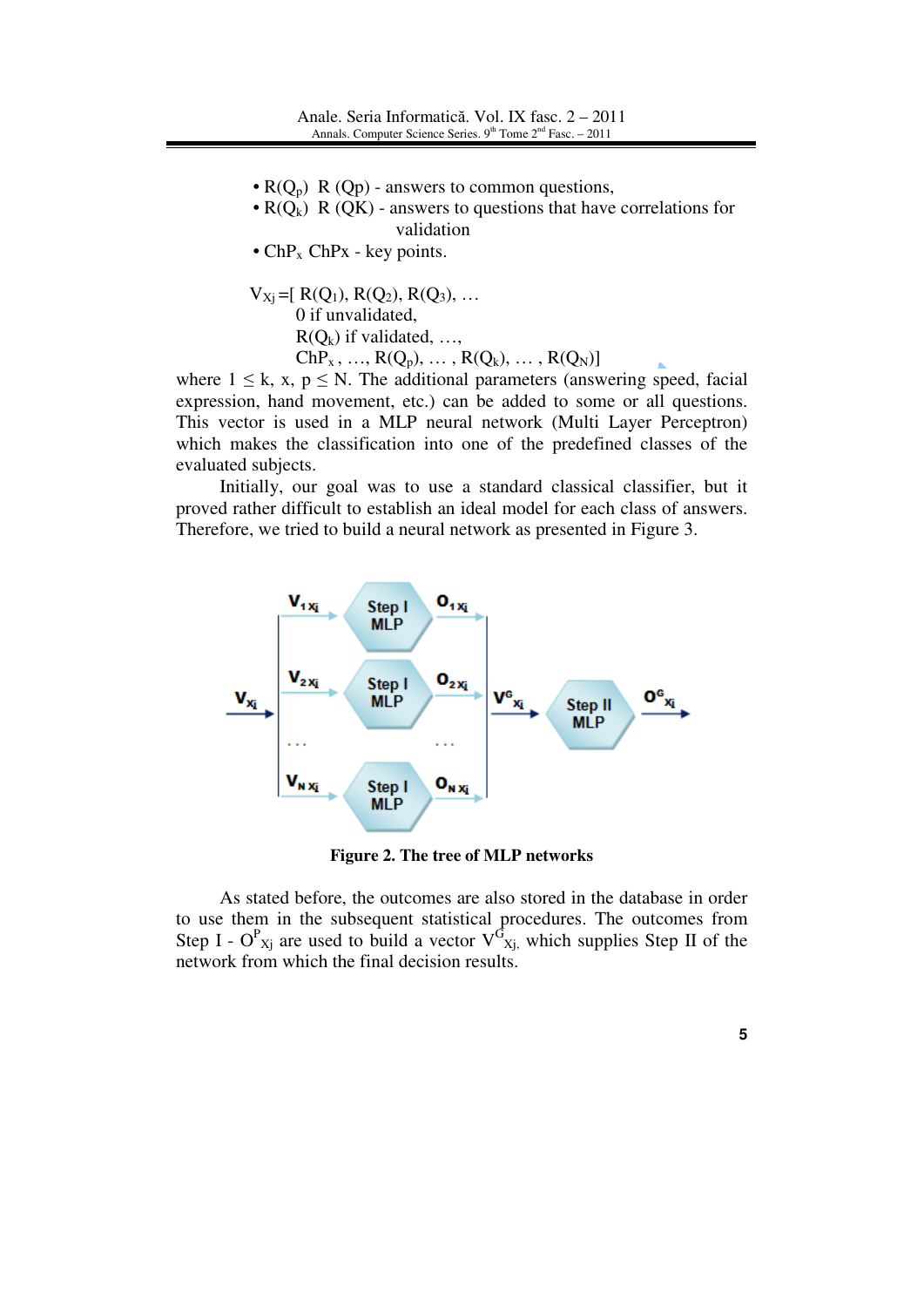- $R(Q_p)$  R (Qp) answers to common questions,
- $R(Q_k)$  R (QK) answers to questions that have correlations for validation
- $ChP_x$  ChPx key points.

$$
V_{Xj} = [ R(Q_1), R(Q_2), R(Q_3), ...]
$$
  
0 if unvalidated,  

$$
R(Q_k) \text{ if validated,} ... ,
$$
  

$$
ChP_x, ..., R(Q_p), ... , R(Q_k), ... , R(Q_N)]
$$

where  $1 \leq k$ ,  $x, p \leq N$ . The additional parameters (answering speed, facial expression, hand movement, etc.) can be added to some or all questions. This vector is used in a MLP neural network (Multi Layer Perceptron) which makes the classification into one of the predefined classes of the evaluated subjects.

Initially, our goal was to use a standard classical classifier, but it proved rather difficult to establish an ideal model for each class of answers. Therefore, we tried to build a neural network as presented in Figure 3.



**Figure 2. The tree of MLP networks**

As stated before, the outcomes are also stored in the database in order to use them in the subsequent statistical procedures. The outcomes from Step I -  $O^{P}_{Xj}$  are used to build a vector  $V^{G}_{Xj}$ , which supplies Step II of the network from which the final decision results.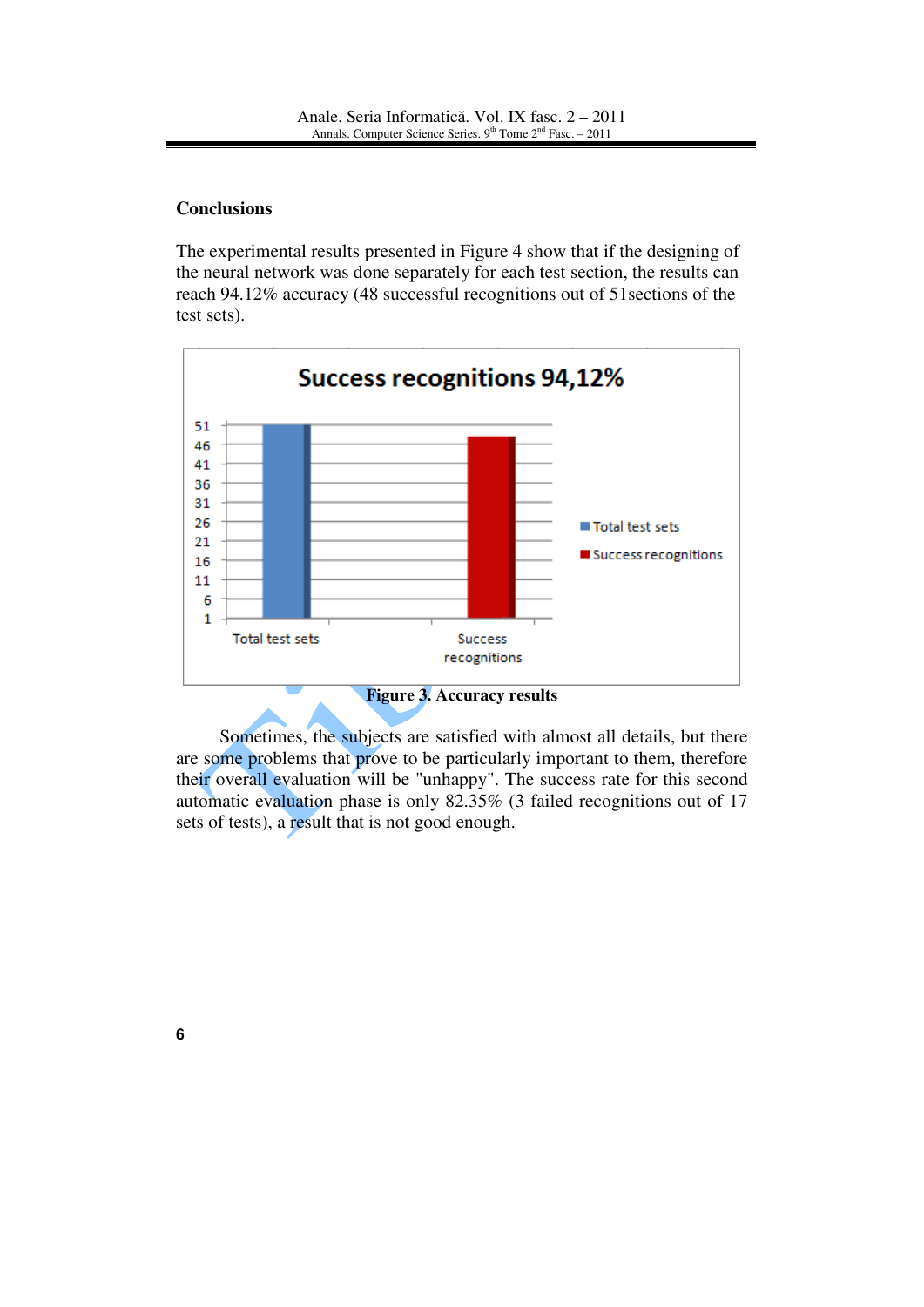#### **Conclusions**

The experimental results presented in Figure 4 show that if the designing of the neural network was done separately for each test section, the results can reach 94.12% accuracy (48 successful recognitions out of 51sections of the test sets).



Sometimes, the subjects are satisfied with almost all details, but there are some problems that prove to be particularly important to them, therefore their overall evaluation will be "unhappy". The success rate for this second automatic evaluation phase is only 82.35% (3 failed recognitions out of 17 sets of tests), a result that is not good enough.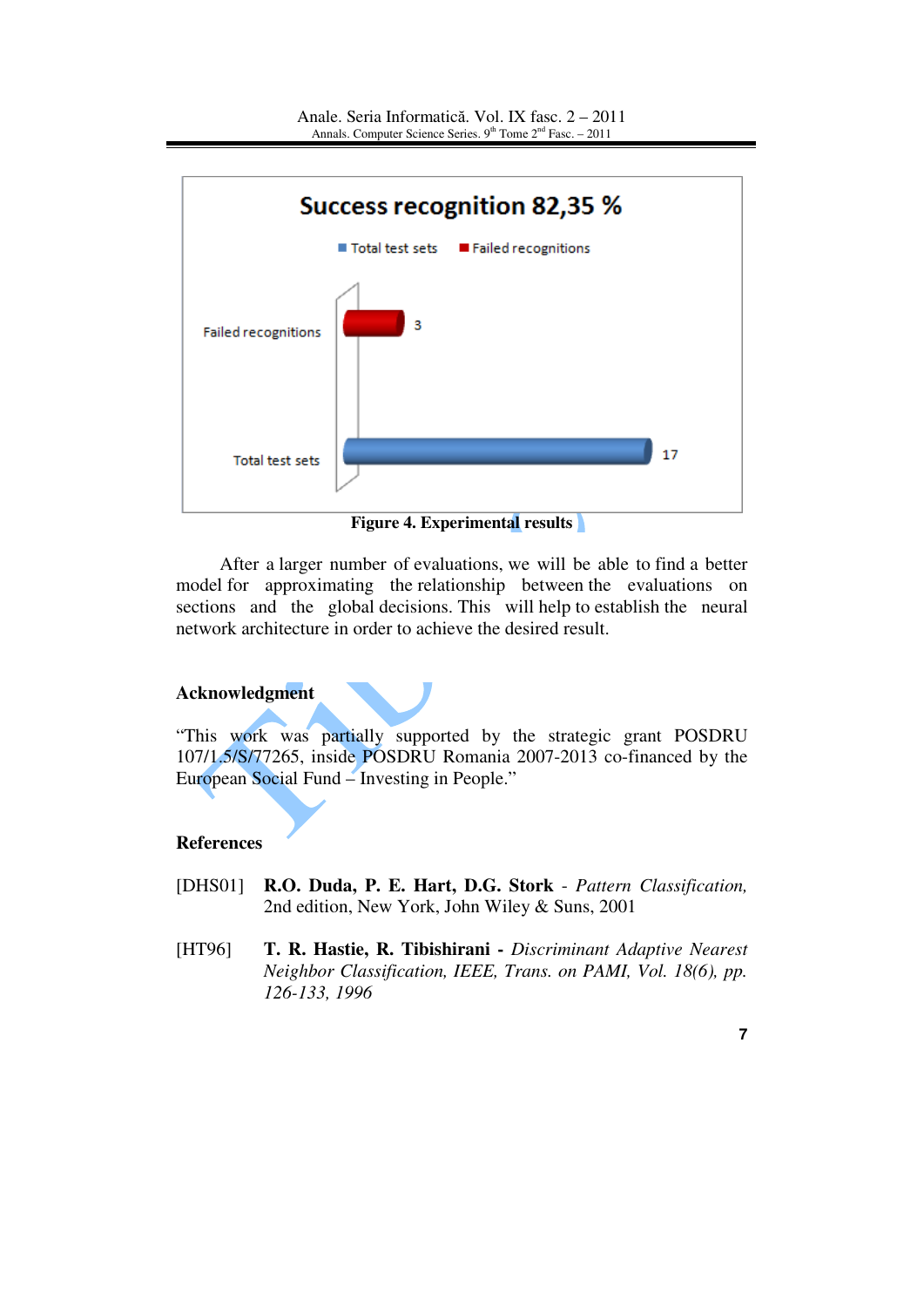

**Figure 4. Experimental results**

After a larger number of evaluations, we will be able to find a better model for approximating the relationship between the evaluations on sections and the global decisions. This will help to establish the neural network architecture in order to achieve the desired result.

# **Acknowledgment**

"This work was partially supported by the strategic grant POSDRU 107/1.5/S/77265, inside POSDRU Romania 2007-2013 co-financed by the European Social Fund – Investing in People."

## **References**

- [DHS01] **R.O. Duda, P. E. Hart, D.G. Stork** *Pattern Classification,*  2nd edition, New York, John Wiley & Suns, 2001
- [HT96] **T. R. Hastie, R. Tibishirani** *Discriminant Adaptive Nearest Neighbor Classification, IEEE, Trans. on PAMI, Vol. 18(6), pp. 126-133, 1996*